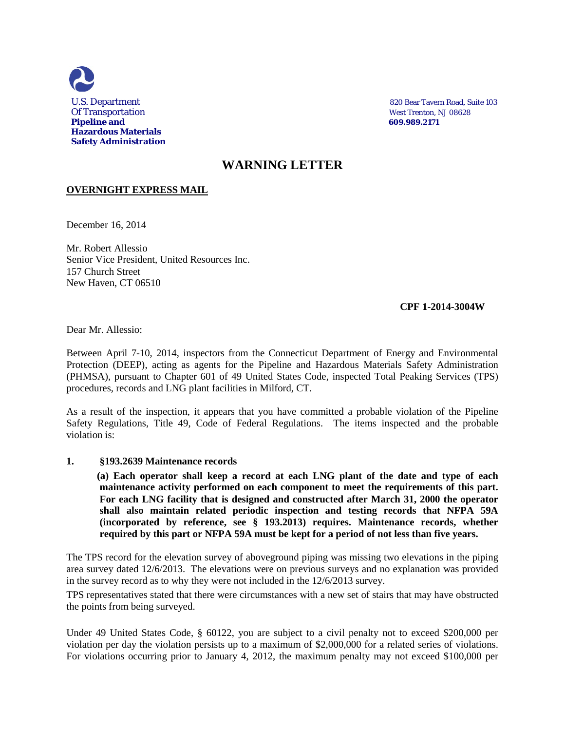

U.S. Department 820 Bear Tavern Road, Suite 103

## **WARNING LETTER**

## **OVERNIGHT EXPRESS MAIL**

December 16, 2014

Mr. Robert Allessio Senior Vice President, United Resources Inc. 157 Church Street New Haven, CT 06510

## **CPF 1-2014-3004W**

Dear Mr. Allessio:

Between April 7-10, 2014, inspectors from the Connecticut Department of Energy and Environmental Protection (DEEP), acting as agents for the Pipeline and Hazardous Materials Safety Administration (PHMSA), pursuant to Chapter 601 of 49 United States Code, inspected Total Peaking Services (TPS) procedures, records and LNG plant facilities in Milford, CT.

As a result of the inspection, it appears that you have committed a probable violation of the Pipeline Safety Regulations, Title 49, Code of Federal Regulations. The items inspected and the probable violation is:

## **1. §193.2639 Maintenance records**

 **(a) Each operator shall keep a record at each LNG plant of the date and type of each maintenance activity performed on each component to meet the requirements of this part. For each LNG facility that is designed and constructed after March 31, 2000 the operator shall also maintain related periodic inspection and testing records that NFPA 59A (incorporated by reference, see § 193.2013) requires. Maintenance records, whether required by this part or NFPA 59A must be kept for a period of not less than five years.**

The TPS record for the elevation survey of aboveground piping was missing two elevations in the piping area survey dated 12/6/2013. The elevations were on previous surveys and no explanation was provided in the survey record as to why they were not included in the 12/6/2013 survey.

TPS representatives stated that there were circumstances with a new set of stairs that may have obstructed the points from being surveyed.

Under 49 United States Code, § 60122, you are subject to a civil penalty not to exceed \$200,000 per violation per day the violation persists up to a maximum of \$2,000,000 for a related series of violations. For violations occurring prior to January 4, 2012, the maximum penalty may not exceed \$100,000 per